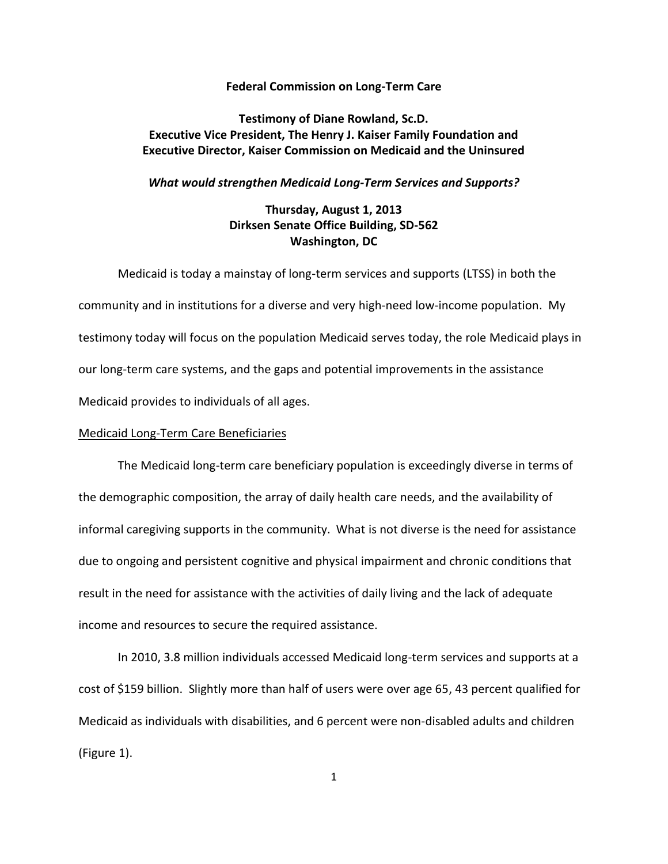#### **Federal Commission on Long-Term Care**

## **Testimony of Diane Rowland, Sc.D. Executive Vice President, The Henry J. Kaiser Family Foundation and Executive Director, Kaiser Commission on Medicaid and the Uninsured**

#### *What would strengthen Medicaid Long-Term Services and Supports?*

# **Thursday, August 1, 2013 Dirksen Senate Office Building, SD-562 Washington, DC**

Medicaid is today a mainstay of long-term services and supports (LTSS) in both the community and in institutions for a diverse and very high-need low-income population. My testimony today will focus on the population Medicaid serves today, the role Medicaid plays in our long-term care systems, and the gaps and potential improvements in the assistance Medicaid provides to individuals of all ages.

### Medicaid Long-Term Care Beneficiaries

The Medicaid long-term care beneficiary population is exceedingly diverse in terms of the demographic composition, the array of daily health care needs, and the availability of informal caregiving supports in the community. What is not diverse is the need for assistance due to ongoing and persistent cognitive and physical impairment and chronic conditions that result in the need for assistance with the activities of daily living and the lack of adequate income and resources to secure the required assistance.

In 2010, 3.8 million individuals accessed Medicaid long-term services and supports at a cost of \$159 billion. Slightly more than half of users were over age 65, 43 percent qualified for Medicaid as individuals with disabilities, and 6 percent were non-disabled adults and children (Figure 1).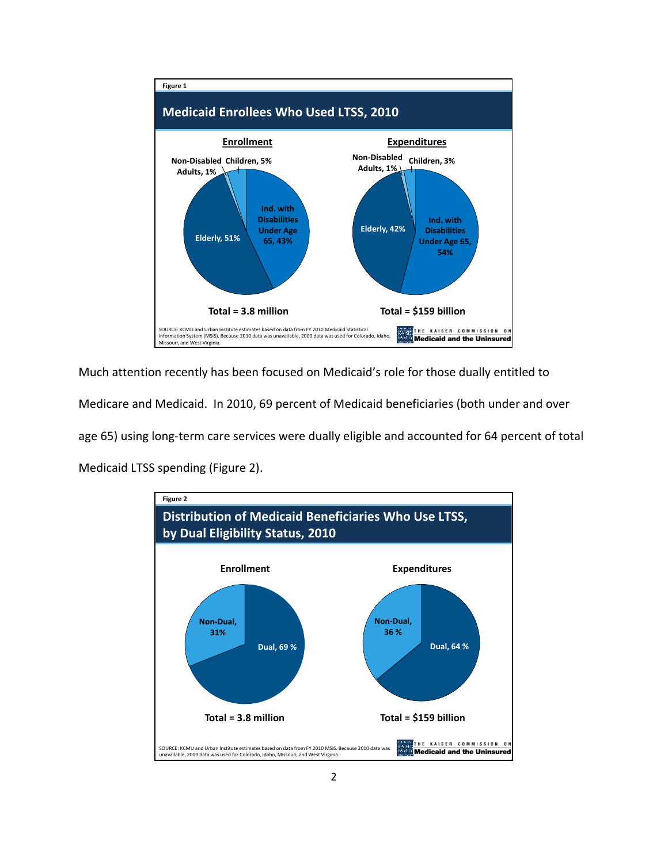

Much attention recently has been focused on Medicaid's role for those dually entitled to Medicare and Medicaid. In 2010, 69 percent of Medicaid beneficiaries (both under and over age 65) using long-term care services were dually eligible and accounted for 64 percent of total Medicaid LTSS spending (Figure 2).

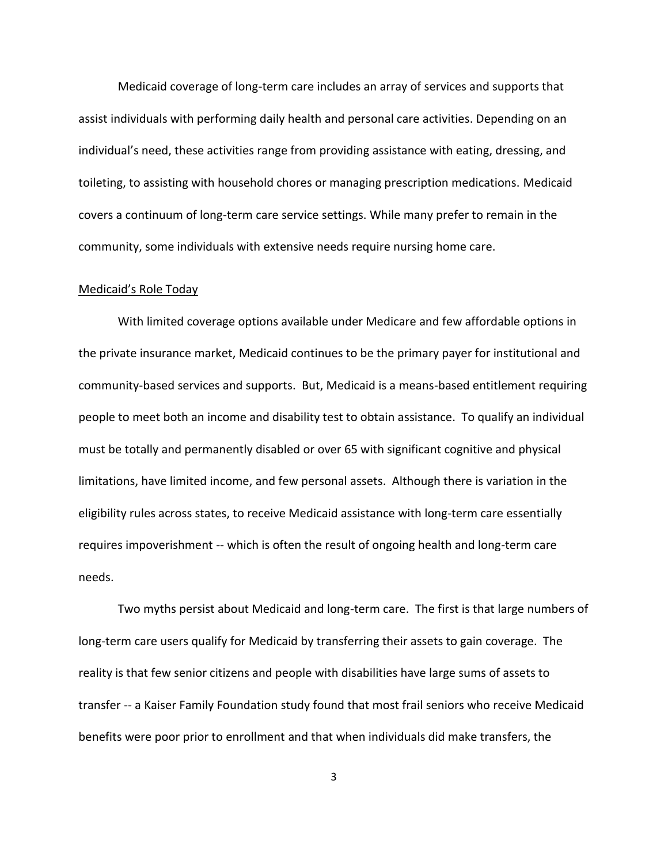Medicaid coverage of long-term care includes an array of services and supports that assist individuals with performing daily health and personal care activities. Depending on an individual's need, these activities range from providing assistance with eating, dressing, and toileting, to assisting with household chores or managing prescription medications. Medicaid covers a continuum of long-term care service settings. While many prefer to remain in the community, some individuals with extensive needs require nursing home care.

### Medicaid's Role Today

With limited coverage options available under Medicare and few affordable options in the private insurance market, Medicaid continues to be the primary payer for institutional and community-based services and supports. But, Medicaid is a means-based entitlement requiring people to meet both an income and disability test to obtain assistance. To qualify an individual must be totally and permanently disabled or over 65 with significant cognitive and physical limitations, have limited income, and few personal assets. Although there is variation in the eligibility rules across states, to receive Medicaid assistance with long-term care essentially requires impoverishment -- which is often the result of ongoing health and long-term care needs.

Two myths persist about Medicaid and long-term care. The first is that large numbers of long-term care users qualify for Medicaid by transferring their assets to gain coverage. The reality is that few senior citizens and people with disabilities have large sums of assets to transfer -- a Kaiser Family Foundation study found that most frail seniors who receive Medicaid benefits were poor prior to enrollment and that when individuals did make transfers, the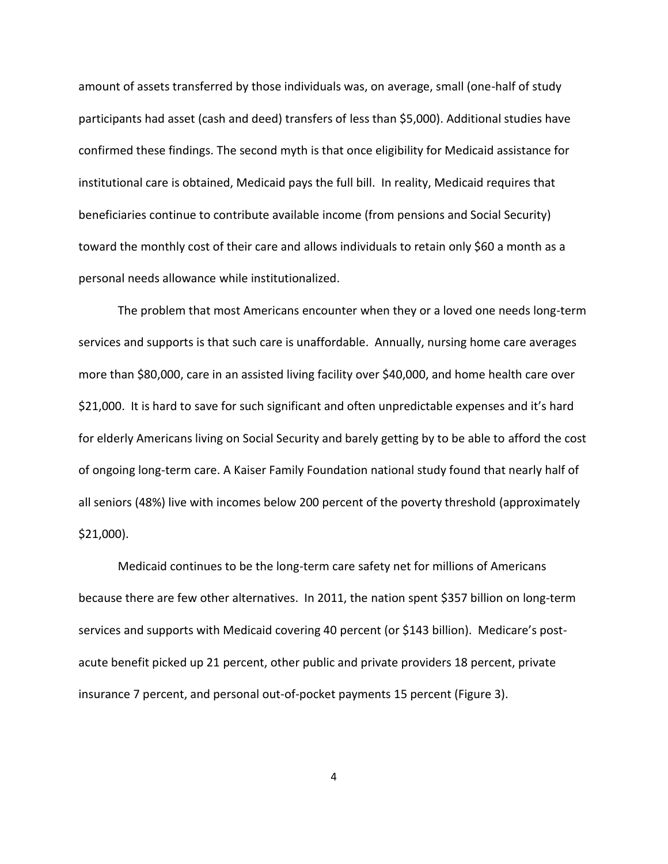amount of assets transferred by those individuals was, on average, small (one-half of study participants had asset (cash and deed) transfers of less than \$5,000). Additional studies have confirmed these findings. The second myth is that once eligibility for Medicaid assistance for institutional care is obtained, Medicaid pays the full bill. In reality, Medicaid requires that beneficiaries continue to contribute available income (from pensions and Social Security) toward the monthly cost of their care and allows individuals to retain only \$60 a month as a personal needs allowance while institutionalized.

The problem that most Americans encounter when they or a loved one needs long-term services and supports is that such care is unaffordable. Annually, nursing home care averages more than \$80,000, care in an assisted living facility over \$40,000, and home health care over \$21,000. It is hard to save for such significant and often unpredictable expenses and it's hard for elderly Americans living on Social Security and barely getting by to be able to afford the cost of ongoing long-term care. A Kaiser Family Foundation national study found that nearly half of all seniors (48%) live with incomes below 200 percent of the poverty threshold (approximately \$21,000).

Medicaid continues to be the long-term care safety net for millions of Americans because there are few other alternatives. In 2011, the nation spent \$357 billion on long-term services and supports with Medicaid covering 40 percent (or \$143 billion). Medicare's postacute benefit picked up 21 percent, other public and private providers 18 percent, private insurance 7 percent, and personal out-of-pocket payments 15 percent (Figure 3).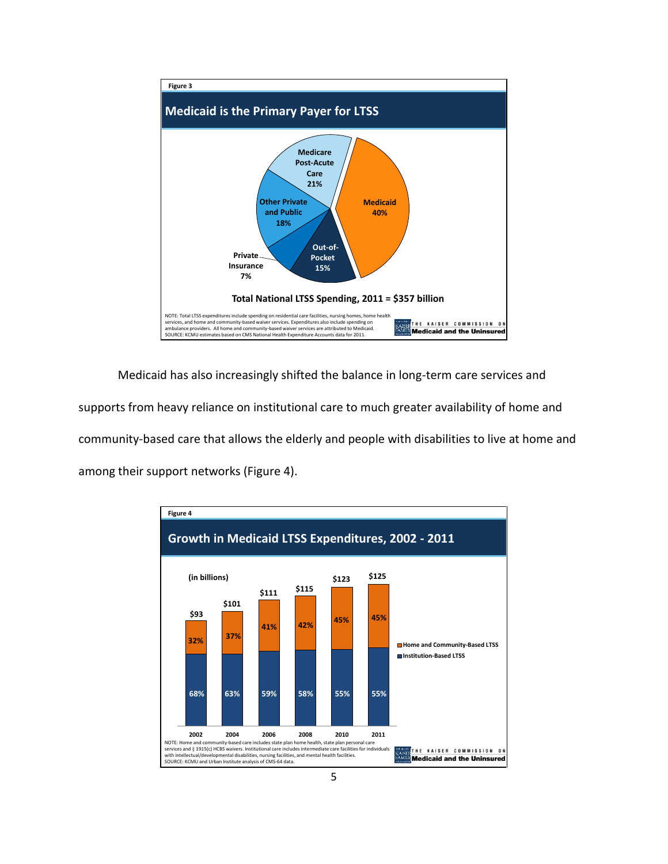

Medicaid has also increasingly shifted the balance in long-term care services and supports from heavy reliance on institutional care to much greater availability of home and community-based care that allows the elderly and people with disabilities to live at home and among their support networks (Figure 4).

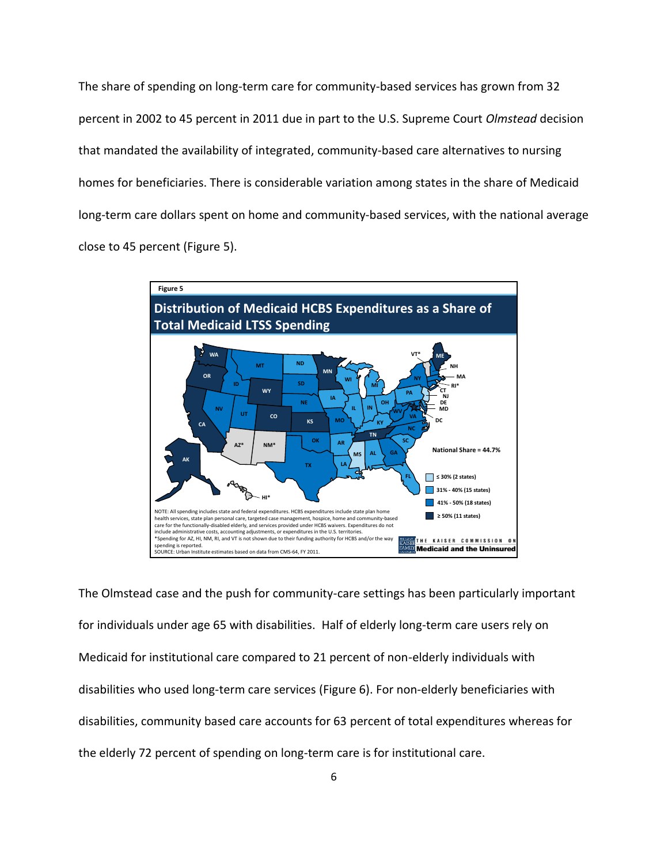The share of spending on long-term care for community-based services has grown from 32 percent in 2002 to 45 percent in 2011 due in part to the U.S. Supreme Court *Olmstead* decision that mandated the availability of integrated, community-based care alternatives to nursing homes for beneficiaries. There is considerable variation among states in the share of Medicaid long-term care dollars spent on home and community-based services, with the national average close to 45 percent (Figure 5).



The Olmstead case and the push for community-care settings has been particularly important for individuals under age 65 with disabilities. Half of elderly long-term care users rely on Medicaid for institutional care compared to 21 percent of non-elderly individuals with disabilities who used long-term care services (Figure 6). For non-elderly beneficiaries with disabilities, community based care accounts for 63 percent of total expenditures whereas for the elderly 72 percent of spending on long-term care is for institutional care.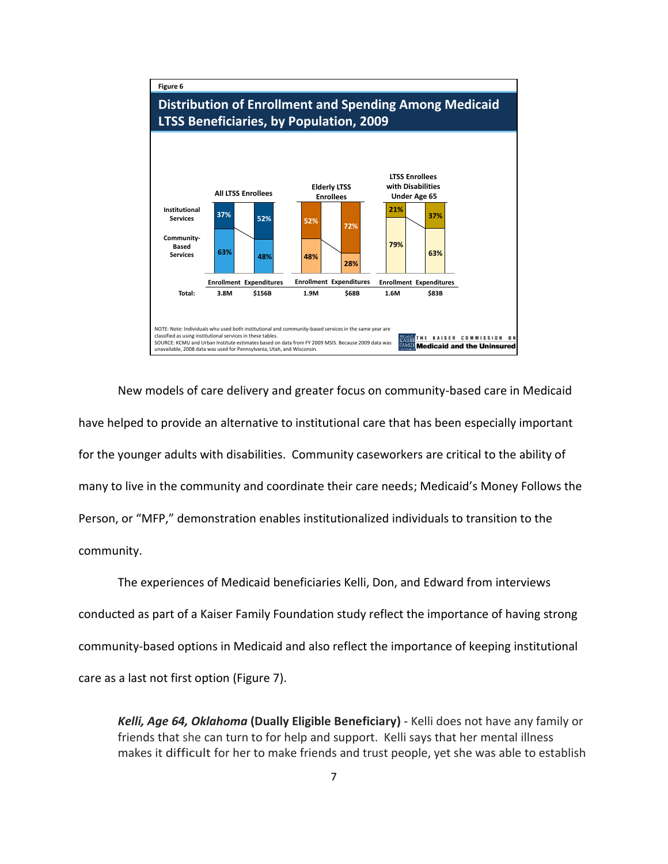

New models of care delivery and greater focus on community-based care in Medicaid have helped to provide an alternative to institutional care that has been especially important for the younger adults with disabilities. Community caseworkers are critical to the ability of many to live in the community and coordinate their care needs; Medicaid's Money Follows the Person, or "MFP," demonstration enables institutionalized individuals to transition to the community.

The experiences of Medicaid beneficiaries Kelli, Don, and Edward from interviews conducted as part of a Kaiser Family Foundation study reflect the importance of having strong community-based options in Medicaid and also reflect the importance of keeping institutional care as a last not first option (Figure 7).

*Kelli, Age 64, Oklahoma* **(Dually Eligible Beneficiary)** - Kelli does not have any family or friends that she can turn to for help and support. Kelli says that her mental illness makes it difficult for her to make friends and trust people, yet she was able to establish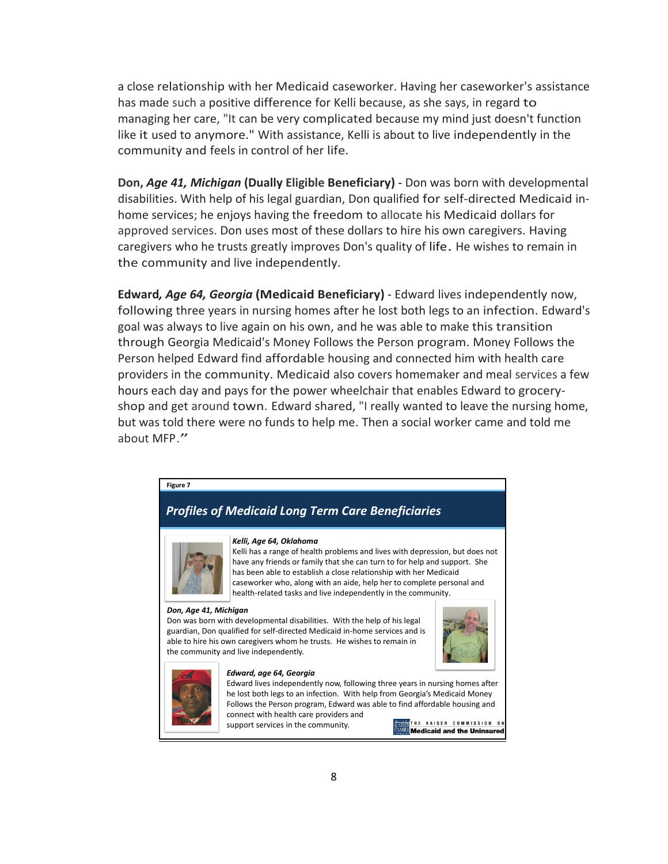a close relationship with her Medicaid caseworker. Having her caseworker's assistance has made such a positive difference for Kelli because, as she says, in regard to managing her care, "It can be very complicated because my mind just doesn't function like it used to anymore." With assistance, Kelli is about to live independently in the community and feels in control of her life.

**Don,** *Age 41, Michigan* **(Dually Eligible Beneficiary)** - Don was born with developmental disabilities. With help of his legal guardian, Don qualified for self-directed Medicaid inhome services; he enjoys having the freedom to allocate his Medicaid dollars for approved services. Don uses most of these dollars to hire his own caregivers. Having caregivers who he trusts greatly improves Don's quality of life. He wishes to remain in the community and live independently.

**Edward***, Age 64, Georgia* **(Medicaid Beneficiary)** - Edward lives independently now, following three years in nursing homes after he lost both legs to an infection. Edward's goal was always to live again on his own, and he was able to make this transition through Georgia Medicaid's Money Follows the Person program. Money Follows the Person helped Edward find affordable housing and connected him with health care providers in the community. Medicaid also covers homemaker and meal services a few hours each day and pays for the power wheelchair that enables Edward to groceryshop and get around town. Edward shared, "I really wanted to leave the nursing home, but was told there were no funds to help me. Then a social worker came and told me about MFP."



## **Figure 7**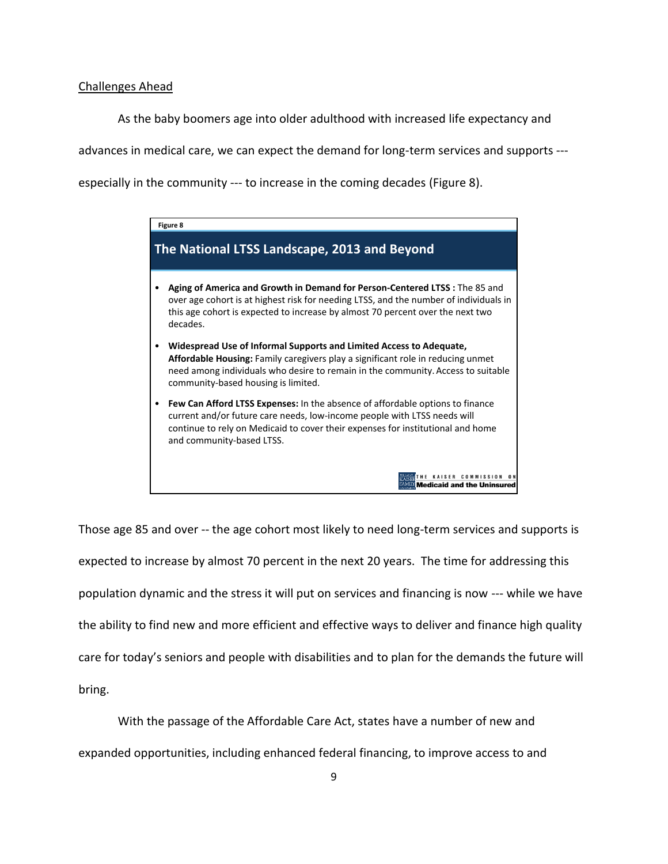### Challenges Ahead

As the baby boomers age into older adulthood with increased life expectancy and

advances in medical care, we can expect the demand for long-term services and supports ---

especially in the community --- to increase in the coming decades (Figure 8).



Those age 85 and over -- the age cohort most likely to need long-term services and supports is expected to increase by almost 70 percent in the next 20 years. The time for addressing this population dynamic and the stress it will put on services and financing is now --- while we have the ability to find new and more efficient and effective ways to deliver and finance high quality care for today's seniors and people with disabilities and to plan for the demands the future will bring.

With the passage of the Affordable Care Act, states have a number of new and expanded opportunities, including enhanced federal financing, to improve access to and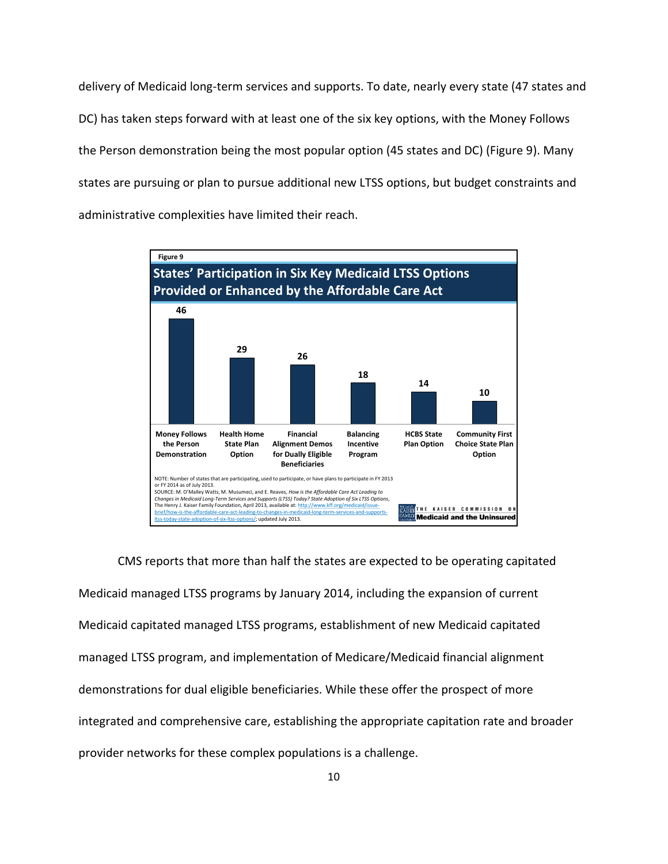delivery of Medicaid long-term services and supports. To date, nearly every state (47 states and DC) has taken steps forward with at least one of the six key options, with the Money Follows the Person demonstration being the most popular option (45 states and DC) (Figure 9). Many states are pursuing or plan to pursue additional new LTSS options, but budget constraints and administrative complexities have limited their reach.



CMS reports that more than half the states are expected to be operating capitated Medicaid managed LTSS programs by January 2014, including the expansion of current Medicaid capitated managed LTSS programs, establishment of new Medicaid capitated managed LTSS program, and implementation of Medicare/Medicaid financial alignment demonstrations for dual eligible beneficiaries. While these offer the prospect of more integrated and comprehensive care, establishing the appropriate capitation rate and broader provider networks for these complex populations is a challenge.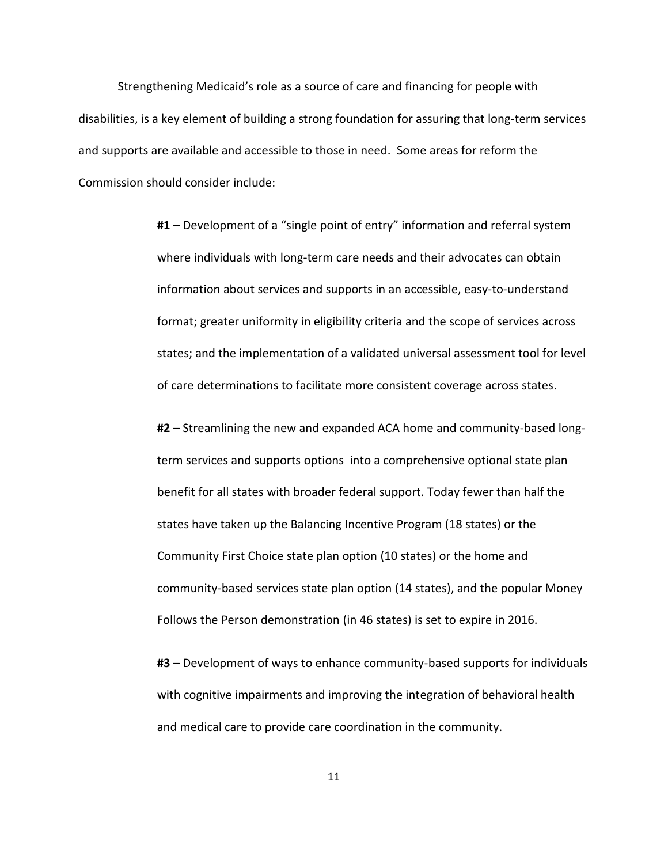Strengthening Medicaid's role as a source of care and financing for people with disabilities, is a key element of building a strong foundation for assuring that long-term services and supports are available and accessible to those in need. Some areas for reform the Commission should consider include:

> **#1** – Development of a "single point of entry" information and referral system where individuals with long-term care needs and their advocates can obtain information about services and supports in an accessible, easy-to-understand format; greater uniformity in eligibility criteria and the scope of services across states; and the implementation of a validated universal assessment tool for level of care determinations to facilitate more consistent coverage across states.

> **#2** – Streamlining the new and expanded ACA home and community-based longterm services and supports options into a comprehensive optional state plan benefit for all states with broader federal support. Today fewer than half the states have taken up the Balancing Incentive Program (18 states) or the Community First Choice state plan option (10 states) or the home and community-based services state plan option (14 states), and the popular Money Follows the Person demonstration (in 46 states) is set to expire in 2016.

> **#3** – Development of ways to enhance community-based supports for individuals with cognitive impairments and improving the integration of behavioral health and medical care to provide care coordination in the community.